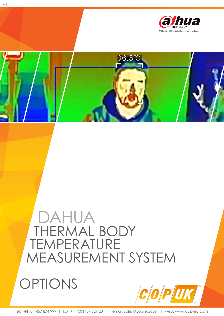

 $36.5^{\circ}$ 

# DAHUA THERMAL BODY TEMPERATURE MEASUREMENT SYSTEM



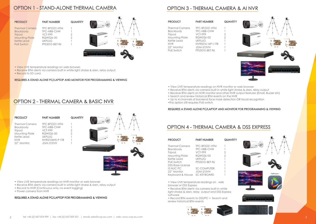### OPTION 1 - STAND-ALONE THERMAL CAMERA

- View LIVE temperature readings on web browser.
- Receive BTM alerts via camera built in white light strobe & siren, relay output.
- Record to SD card.



| <b>PRODUCT</b>                                                                                             | <b>PART NUMBER</b>                                                                                                   | <b>QUANTITY</b>                  |            |         |
|------------------------------------------------------------------------------------------------------------|----------------------------------------------------------------------------------------------------------------------|----------------------------------|------------|---------|
| <b>Thermal Camera</b><br>Blackbody<br>Tripod<br>Mounting Plate<br>Kettle Lead<br><b>NVR</b><br>22" Monitor | TPC-BF2221-HTM<br>TPC-HBB-CHW<br><b>VCT-999</b><br>RQW026-00<br><b>UKPLUG</b><br>NVR2104HS-P-1TB<br><b>JGM-215VH</b> | $\overline{2}$<br>$\overline{2}$ | $^{\circ}$ | $\circ$ |

### OPTION 2 - THERMAL CAMERA & BASIC NVR

#### REQUIRES A STAND ALONE PC/LAPTOP AND MONITOR FOR PROGRAMMING & VIEWING

- View LIVE temperature readings on NVR monitor or web browser
- Receive BTM alerts via camera built in white light strobe & siren, relay output
- Record to NVR (Continuous only, no event logging)
- Power camera from NVR

#### REQUIRES A STAND ALONE PC/LAPTOP FOR PROGRAMMING & VIEWING





| <b>PRODUCT</b>                                                                                                                                | <b>PART NUMBER</b>                                                                                                         | <b>QUANTITY</b> |
|-----------------------------------------------------------------------------------------------------------------------------------------------|----------------------------------------------------------------------------------------------------------------------------|-----------------|
| <b>Thermal Camera</b><br><b>Blackbody</b><br><b>Tripod</b><br>Mounting Plate<br>Kettle Lead<br><b>NVR</b><br>22" Monitor<br><b>PoE Switch</b> | TPC-BF2221-HTM<br>TPC-HBB-CHW<br>VCT-999<br>RQW026-00<br>UKPIUG<br>NVR5216-16P-I-1TB<br><b>JGM-215VH</b><br>PFS3010-8ET-96 | 2<br>2          |

| <b>Thermal Camera</b><br>TPC-BF2221-HTM<br>TPC-HBB-CHW<br>Blackbody<br><b>VCT-999</b><br>Tripod<br>2<br>RQW026-00<br>Mounting Plate<br>2<br>Kettle Lead<br><b>UKPLUG</b><br>PFS3010-8ET-96<br>PoE Switch<br>DSS Base License<br>15 NUC PC<br><b>SC-COMPUTER</b><br>22" Monitor<br><b>JGM-215VH</b><br>SC-KFYBOARD<br>Keyboard & Mouse |  |
|---------------------------------------------------------------------------------------------------------------------------------------------------------------------------------------------------------------------------------------------------------------------------------------------------------------------------------------|--|

### OPTION 3 - THERMAL CAMERA & AI NVR

- View LIVE temperature readings on NVR monitor or web browser
- Receive BTM alerts via camera built in white light strobe & siren, relay output
- Receive BTM alerts on NVR monitor and other NVR output features (Email, Buzzer etc)
- Search and review historical BTM events on the NVR
- Up to 4 channels of backend face mask detection OR facial recognition
- •This option still requires PoE switch

### REQUIRES A STAND ALONE PC/LAPTOP AND MONITOR FOR PROGRAMMING & VIEWING

### OPTION 4 - THERMAL CAMERA & DSS EXPRESS

• View LIVE temperature readings on web browser or DSS Express

• Receive BTM alerts via camera built in white light strobe & siren, relay output and DSS Express software

• Record BTM events to DSS/PC + Search and review historical BTM events

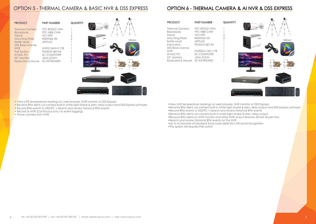### OPTION 5 - THERMAL CAMERA & BASIC NVR & DSS EXPRESS

| <b>PRODUCT</b>                                                                                                                | <b>PART NUMBER</b>                                                                         | <b>QUAN1</b> |
|-------------------------------------------------------------------------------------------------------------------------------|--------------------------------------------------------------------------------------------|--------------|
| <b>Thermal Camera</b><br><b>Blackbody</b><br><b>Tripod</b><br><b>Mounting Plate</b><br>Kettle Lead<br><b>DSS Base License</b> | TPC-BF2221-HTM<br><b>TPC-HBB-CHW</b><br><b>VCT-999</b><br>RQW026-00<br><b>UKPLUG</b>       | 2<br>2       |
| <b>NVR</b><br><b>PoE Switch</b><br><b>15 NUC PC</b><br>22" Monitor<br>Keyboard & Mouse                                        | NVR2104HS-P-1TB<br>PFS3010-8ET-96<br><b>SC-COMPUTER</b><br><b>JGM-215VH</b><br>SC-KEYBOARD |              |

| <b>TITY</b> | <b>SPW</b><br>日花に |                                                                                                                                  |  |
|-------------|-------------------|----------------------------------------------------------------------------------------------------------------------------------|--|
|             | @thpa             | - Software -                                                                                                                     |  |
|             |                   | Kitoness                                                                                                                         |  |
|             |                   | $\circ$<br>0 <sup>o</sup>                                                                                                        |  |
| amu         |                   |                                                                                                                                  |  |
|             |                   | mention process and<br>M3<br>지 시 지 지 지 지 지 지 지 지<br><b>Parts</b><br>÷<br>이리카라지카지카<br>٠<br>图相相相相相相相<br>-<br>프로젝트 시작 시작 전<br>3 143 |  |

• View LIVE temperature readings on web browser, NVR monitor or DSS Express

• Receive BTM alerts via camera built in white light strobe & siren, relay output and DSS Express software

- Record BTM events to DSS/PC + Search and review historical BTM events
- Record to NVR (Continuous only, no event logging)
- Power camera from NVR

## OPTION 6 - THERMAL CAMERA & AI NVR & DSS EXPRESS

•View LIVE temperature readings on web browser, NVR monitor or DSS Express •Receive BTM alerts via camera built in white light strobe & siren, relay output and DSS Express software •Record BTM events to DSS/PC + Search and review historical BTM events •Receive BTM alerts via camera built in white light strobe & siren, relay output •Receive BTM alerts on NVR monitor and other NVR output features (Email, Buzzer etc)

- 
- 
- 
- 
- •Search and review historical BTM events on the NVR
- •Up to 4 channels of backend face mask detection OR facial recognition
- •This option still requires PoE switch



| <b>PRODUCT</b>        | <b>PART NUMBER</b> | <b>QUANTITY</b> |
|-----------------------|--------------------|-----------------|
| <b>Thermal Camera</b> | TPC-BF2221-HTM     |                 |
| <b>Blackbody</b>      | TPC-HBB-CHW        |                 |
| <b>Tripod</b>         | <b>VCT-999</b>     | 2               |
| <b>Mounting Plate</b> | RQW026-00          | 2               |
| Kettle Lead           | <b>UKPLUG</b>      |                 |
| PoE Switch            | PFS3010-8ET-96     |                 |
| DSS Base License      |                    |                 |
| NVR                   | NVR5216-16P-I-1TB  |                 |
| <b>15 NUC PC</b>      | <b>SC-COMPUTER</b> |                 |
| 22" Monitor           | <b>JGM-215VH</b>   |                 |
| Keyboard & Mouse      | SC-KEYBOARD        |                 |